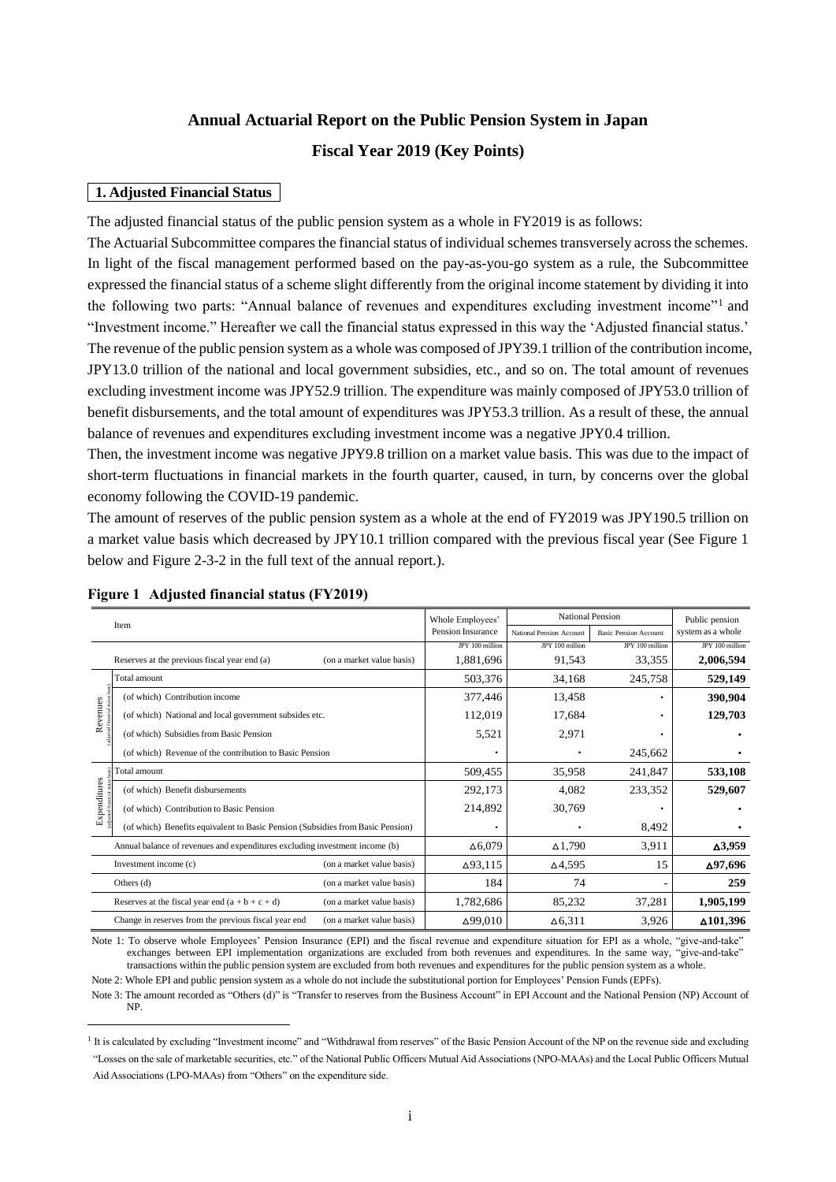# **Annual Actuarial Report on the Public Pension System in Japan Fiscal Year 2019 (Key Points)**

## **1. Adjusted Financial Status**

The adjusted financial status of the public pension system as a whole in FY2019 is as follows:

The Actuarial Subcommittee compares the financial status of individual schemes transversely across the schemes. In light of the fiscal management performed based on the pay-as-you-go system as a rule, the Subcommittee expressed the financial status of a scheme slight differently from the original income statement by dividing it into the following two parts: "Annual balance of revenues and expenditures excluding investment income"<sup>1</sup> and "Investment income." Hereafter we call the financial status expressed in this way the 'Adjusted financial status.' The revenue of the public pension system as a whole was composed of JPY39.1 trillion of the contribution income, JPY13.0 trillion of the national and local government subsidies, etc., and so on. The total amount of revenues excluding investment income was JPY52.9 trillion. The expenditure was mainly composed of JPY53.0 trillion of benefit disbursements, and the total amount of expenditures was JPY53.3 trillion. As a result of these, the annual balance of revenues and expenditures excluding investment income was a negative JPY0.4 trillion.

Then, the investment income was negative JPY9.8 trillion on a market value basis. This was due to the impact of short-term fluctuations in financial markets in the fourth quarter, caused, in turn, by concerns over the global economy following the COVID-19 pandemic.

The amount of reserves of the public pension system as a whole at the end of FY2019 was JPY190.5 trillion on a market value basis which decreased by JPY10.1 trillion compared with the previous fiscal year (See Figure 1 below and Figure 2-3-2 in the full text of the annual report.).

| Item                                                                              |                                                                                | Whole Employees'<br>Pension Insurance | <b>National Pension</b>  |                              | Public pension    |                |
|-----------------------------------------------------------------------------------|--------------------------------------------------------------------------------|---------------------------------------|--------------------------|------------------------------|-------------------|----------------|
|                                                                                   |                                                                                |                                       | National Pension Account | <b>Basic Pension Account</b> | system as a whole |                |
| Reserves at the previous fiscal year end (a)<br>(on a market value basis)         |                                                                                | JPY 100 million                       | JPY 100 million          | JPY 100 million              | JPY 100 million   |                |
|                                                                                   |                                                                                | 1,881,696                             | 91,543                   | 33,355                       | 2,006,594         |                |
| Revenues                                                                          | Total amount                                                                   |                                       | 503,376                  | 34,168                       | 245,758           | 529,149        |
|                                                                                   | (of which) Contribution income                                                 |                                       | 377,446                  | 13,458                       |                   | 390,904        |
|                                                                                   | (of which) National and local government subsides etc.                         |                                       | 112,019                  | 17,684                       |                   | 129,703        |
|                                                                                   | (of which) Subsidies from Basic Pension                                        |                                       | 5,521                    | 2,971                        |                   |                |
|                                                                                   | (of which) Revenue of the contribution to Basic Pension                        |                                       |                          |                              | 245,662           |                |
| Expenditures<br>(adjusted framedal status be                                      | Total amount                                                                   |                                       | 509,455                  | 35,958                       | 241,847           | 533,108        |
|                                                                                   | (of which) Benefit disbursements                                               |                                       | 292,173                  | 4.082                        | 233,352           | 529,607        |
|                                                                                   | (of which) Contribution to Basic Pension                                       |                                       | 214,892                  | 30,769                       |                   |                |
|                                                                                   | (of which) Benefits equivalent to Basic Pension (Subsidies from Basic Pension) |                                       |                          | ٠                            | 8,492             |                |
| Annual balance of revenues and expenditures excluding investment income (b)       |                                                                                |                                       | $\Delta 6,079$           | $\Delta$ 1,790               | 3,911             | $\Delta$ 3,959 |
| Investment income (c)<br>(on a market value basis)                                |                                                                                | $\Delta$ 93,115                       | $\Delta$ 4,595           | 15                           | $\Delta$ 97,696   |                |
| Others (d)<br>(on a market value basis)                                           |                                                                                | 184                                   | 74                       |                              | 259               |                |
|                                                                                   | Reserves at the fiscal year end $(a + b + c + d)$<br>(on a market value basis) |                                       | 1,782,686                | 85,232                       | 37,281            | 1,905,199      |
| Change in reserves from the previous fiscal year end<br>(on a market value basis) |                                                                                |                                       | $\Delta$ 99,010          | $\Delta$ 6,311               | 3,926             | △101,396       |

#### **Figure 1 Adjusted financial status (FY2019)**

l

Note 1: To observe whole Employees' Pension Insurance (EPI) and the fiscal revenue and expenditure situation for EPI as a whole, "give-and-take" exchanges between EPI implementation organizations are excluded from both revenues and expenditures. In the same way, "give-and-take" transactions within the public pension system are excluded from both revenues and expenditures for the public pension system as a whole.

Note 2: Whole EPI and public pension system as a whole do not include the substitutional portion for Employees' Pension Funds (EPFs).

Note 3: The amount recorded as "Others (d)" is "Transfer to reserves from the Business Account" in EPI Account and the National Pension (NP) Account of NP.

<sup>&</sup>lt;sup>1</sup> It is calculated by excluding "Investment income" and "Withdrawal from reserves" of the Basic Pension Account of the NP on the revenue side and excluding "Losses on the sale of marketable securities, etc." of the National Public Officers Mutual Aid Associations (NPO-MAAs) and the Local Public Officers Mutual Aid Associations (LPO-MAAs) from "Others" on the expenditure side.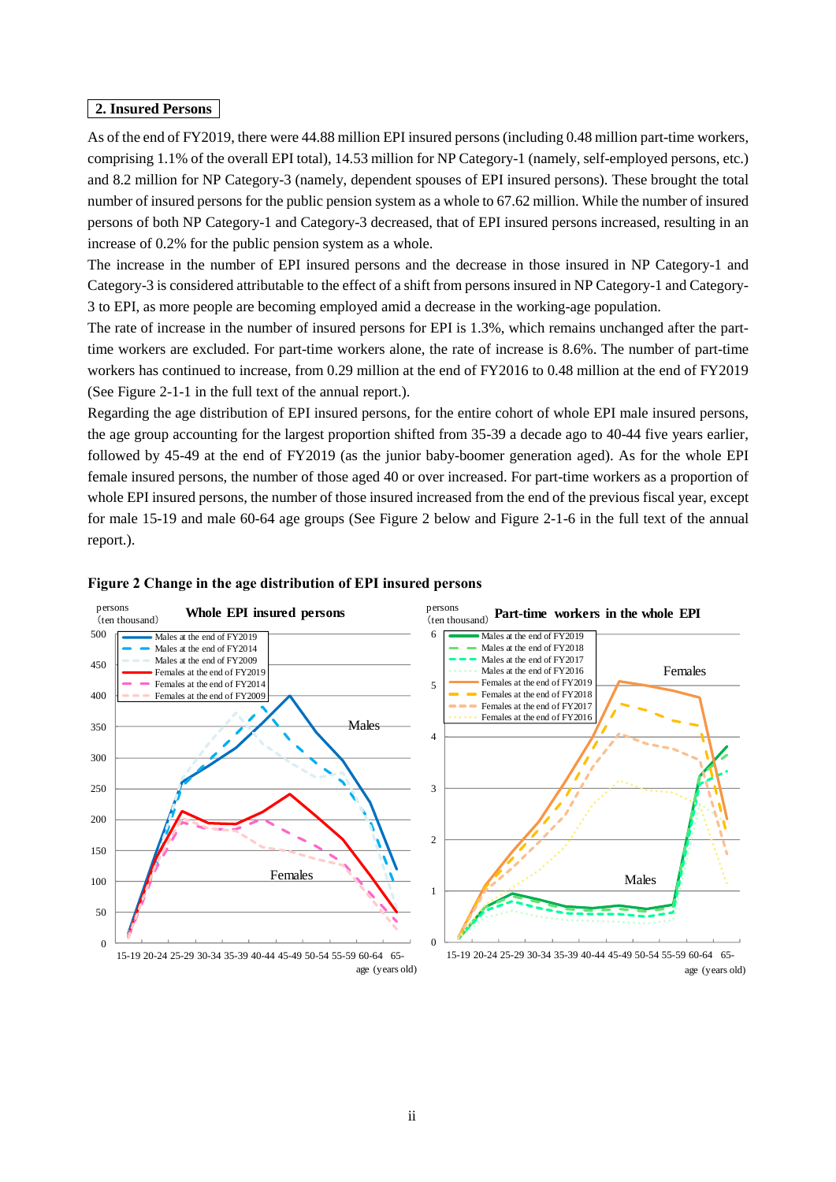## **2. Insured Persons**

As of the end of FY2019, there were 44.88 million EPI insured persons (including 0.48 million part-time workers, comprising 1.1% of the overall EPI total), 14.53 million for NP Category-1 (namely, self-employed persons, etc.) and 8.2 million for NP Category-3 (namely, dependent spouses of EPI insured persons). These brought the total number of insured persons for the public pension system as a whole to 67.62 million. While the number of insured persons of both NP Category-1 and Category-3 decreased, that of EPI insured persons increased, resulting in an increase of 0.2% for the public pension system as a whole.

The increase in the number of EPI insured persons and the decrease in those insured in NP Category-1 and Category-3 is considered attributable to the effect of a shift from persons insured in NP Category-1 and Category-3 to EPI, as more people are becoming employed amid a decrease in the working-age population.

The rate of increase in the number of insured persons for EPI is 1.3%, which remains unchanged after the parttime workers are excluded. For part-time workers alone, the rate of increase is 8.6%. The number of part-time workers has continued to increase, from 0.29 million at the end of FY2016 to 0.48 million at the end of FY2019 (See Figure 2-1-1 in the full text of the annual report.).

Regarding the age distribution of EPI insured persons, for the entire cohort of whole EPI male insured persons, the age group accounting for the largest proportion shifted from 35-39 a decade ago to 40-44 five years earlier, followed by 45-49 at the end of FY2019 (as the junior baby-boomer generation aged). As for the whole EPI female insured persons, the number of those aged 40 or over increased. For part-time workers as a proportion of whole EPI insured persons, the number of those insured increased from the end of the previous fiscal year, except for male 15-19 and male 60-64 age groups (See Figure 2 below and Figure 2-1-6 in the full text of the annual report.).





#### **Figure 2 Change in the age distribution of EPI insured persons**

15-19 20-24 25-29 30-34 35-39 40-44 45-49 50-54 55-59 60-64 65 age (years old)